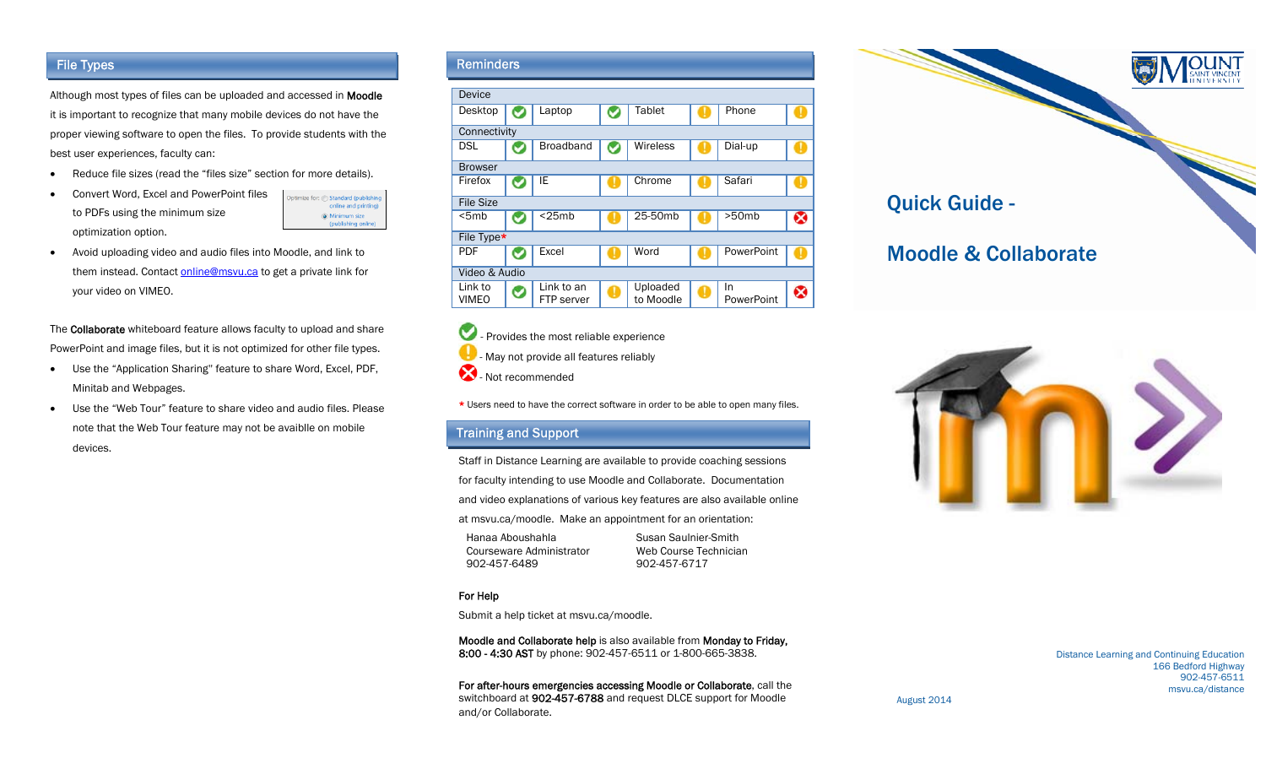Although most types of files can be uploaded and accessed in Moodle it is important to recognize that many mobile devices do not have the proper viewing software to open the files. To provide students with the best user experiences, faculty can:

- •Reduce file sizes (read the "files size" section for more details).
- • Convert Word, Excel and PowerPoint files to PDFs using the minimum size optimization option.
	- Optimize for: @ Standard (publishine online and printing) (a) Minimum size (publishing on
- • Avoid uploading video and audio files into Moodle, and link to them instead. Contact online@msvu.ca to get a private link for your video on VIMEO.

The Collaborate whiteboard feature allows faculty to upload and share PowerPoint and image files, but it is not optimized for other file types.

- • Use the "Application Sharing" feature to share Word, Excel, PDF, Minitab and Webpages.
- • Use the "Web Tour" feature to share video and audio files. Please note that the Web Tour feature may not be avaiblle on mobile devices.

## **File Types Reminders**

| Device                  |  |                          |  |                       |   |                   |   |
|-------------------------|--|--------------------------|--|-----------------------|---|-------------------|---|
| Desktop                 |  | Laptop                   |  | Tablet                |   | Phone             |   |
| Connectivity            |  |                          |  |                       |   |                   |   |
| DSL                     |  | <b>Broadband</b>         |  | Wireless              |   | Dial-up           |   |
| <b>Browser</b>          |  |                          |  |                       |   |                   |   |
| Firefox                 |  | ΙE                       |  | Chrome                |   | Safari            |   |
| <b>File Size</b>        |  |                          |  |                       |   |                   |   |
| <5mb                    |  | $<$ 25mb                 |  | 25-50mb               |   | >50mb             | ∞ |
| File Type*              |  |                          |  |                       |   |                   |   |
| PDF                     |  | Excel                    |  | Word                  |   | PowerPoint        |   |
| Video & Audio           |  |                          |  |                       |   |                   |   |
| Link to<br><b>VIMEO</b> |  | Link to an<br>FTP server |  | Uploaded<br>to Moodle | a | In.<br>PowerPoint | x |

# - Provides the most reliable experience - May not provide all features reliably - Not recommended

\* Users need to have the correct software in order to be able to open many files.

## Training and Support

Staff in Distance Learning are available to provide coaching sessions for faculty intending to use Moodle and Collaborate. Documentation and video explanations of various key features are also available online at msvu.ca/moodle. Make an appointment for an orientation: Hanaa AboushahlaSusan Saulnier-Smith

Courseware Administrator 902-457-6489

Web Course Technician 902-457-6717

#### For Help

Submit a help ticket at msvu.ca/moodle.

Moodle and Collaborate help is also available from Monday to Friday, 8:00 - 4:30 AST by phone: 902-457-6511 or 1-800-665-3838.

For after-hours emergencies accessing Moodle or Collaborate, call the switchboard at 902-457-6788 and request DLCE support for Moodle and/or Collaborate.





Distance Learning and Continuing Education 166 Bedford Highway 902-457-6511 msvu.ca/distance

August 2014